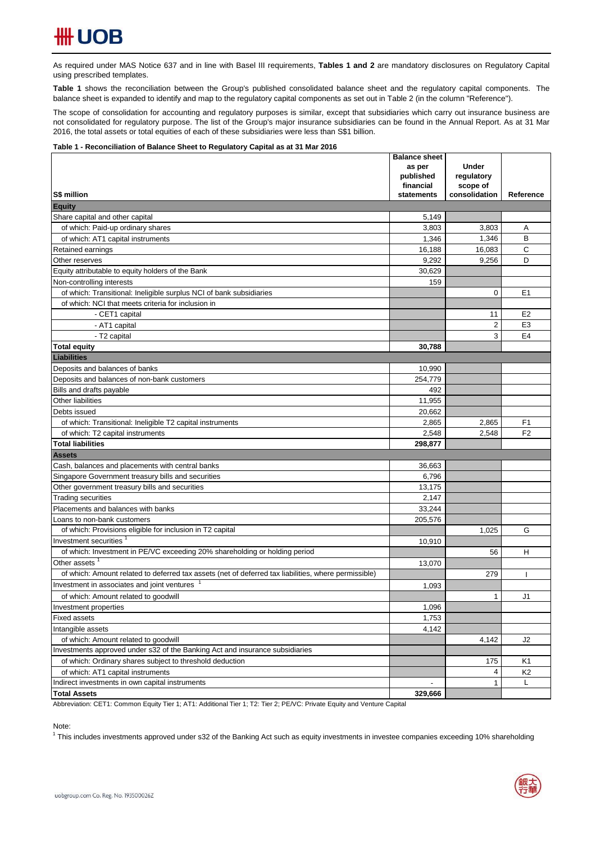As required under MAS Notice 637 and in line with Basel III requirements, Tables 1 and 2 are mandatory disclosures on Regulatory Capital using prescribed templates.

**Table 1** shows the reconciliation between the Group's published consolidated balance sheet and the regulatory capital components. The balance sheet is expanded to identify and map to the regulatory capital components as set out in Table 2 (in the column "Reference").

The scope of consolidation for accounting and regulatory purposes is similar, except that subsidiaries which carry out insurance business are not consolidated for regulatory purpose. The list of the Group's major insurance subsidiaries can be found in the Annual Report. As at 31 Mar 2016, the total assets or total equities of each of these subsidiaries were less than S\$1 billion.

### **Table 1 - Reconciliation of Balance Sheet to Regulatory Capital as at 31 Mar 2016**

|                                                                                                      | <b>Balance sheet</b><br>as per | <b>Under</b>   |                |
|------------------------------------------------------------------------------------------------------|--------------------------------|----------------|----------------|
|                                                                                                      | published                      | regulatory     |                |
|                                                                                                      | financial                      | scope of       |                |
| S\$ million                                                                                          | statements                     | consolidation  | Reference      |
| <b>Equity</b>                                                                                        |                                |                |                |
| Share capital and other capital                                                                      | 5,149                          |                |                |
| of which: Paid-up ordinary shares                                                                    | 3,803                          | 3,803          | Α              |
| of which: AT1 capital instruments                                                                    | 1,346                          | 1,346          | B              |
| Retained earnings                                                                                    | 16,188                         | 16,083         | C              |
| Other reserves                                                                                       | 9,292                          | 9,256          | D              |
| Equity attributable to equity holders of the Bank                                                    | 30,629                         |                |                |
| Non-controlling interests                                                                            | 159                            |                |                |
| of which: Transitional: Ineligible surplus NCI of bank subsidiaries                                  |                                | 0              | E1             |
| of which: NCI that meets criteria for inclusion in                                                   |                                |                |                |
| - CET1 capital                                                                                       |                                | 11             | E <sub>2</sub> |
| - AT1 capital                                                                                        |                                | $\overline{2}$ | E <sub>3</sub> |
| - T2 capital                                                                                         |                                | 3              | E <sub>4</sub> |
| <b>Total equity</b>                                                                                  | 30,788                         |                |                |
| <b>Liabilities</b>                                                                                   |                                |                |                |
| Deposits and balances of banks                                                                       | 10,990                         |                |                |
| Deposits and balances of non-bank customers                                                          | 254,779                        |                |                |
| Bills and drafts payable                                                                             | 492                            |                |                |
| Other liabilities                                                                                    | 11,955                         |                |                |
| Debts issued                                                                                         | 20,662                         |                |                |
| of which: Transitional: Ineligible T2 capital instruments                                            | 2,865                          | 2,865          | F <sub>1</sub> |
| of which: T2 capital instruments                                                                     | 2,548                          | 2,548          | F <sub>2</sub> |
| <b>Total liabilities</b>                                                                             | 298,877                        |                |                |
| <b>Assets</b>                                                                                        |                                |                |                |
| Cash, balances and placements with central banks                                                     | 36,663                         |                |                |
| Singapore Government treasury bills and securities                                                   | 6,796                          |                |                |
| Other government treasury bills and securities                                                       | 13,175                         |                |                |
| Trading securities                                                                                   | 2,147                          |                |                |
| Placements and balances with banks                                                                   | 33,244                         |                |                |
| Loans to non-bank customers                                                                          | 205,576                        |                |                |
| of which: Provisions eligible for inclusion in T2 capital                                            |                                | 1,025          | G              |
| Investment securities                                                                                | 10,910                         |                |                |
| of which: Investment in PE/VC exceeding 20% shareholding or holding period                           |                                | 56             | H              |
| Other assets <sup>1</sup>                                                                            | 13,070                         |                |                |
| of which: Amount related to deferred tax assets (net of deferred tax liabilities, where permissible) |                                | 279            | L              |
| Investment in associates and joint ventures                                                          | 1,093                          |                |                |
| of which: Amount related to goodwill                                                                 |                                | 1              | J1             |
| Investment properties                                                                                | 1,096                          |                |                |
| <b>Fixed assets</b>                                                                                  | 1,753                          |                |                |
| Intangible assets                                                                                    | 4,142                          |                |                |
| of which: Amount related to goodwill                                                                 |                                | 4,142          | J2             |
| Investments approved under s32 of the Banking Act and insurance subsidiaries                         |                                |                |                |
| of which: Ordinary shares subject to threshold deduction                                             |                                | 175            | K1             |
| of which: AT1 capital instruments                                                                    |                                | 4              | K <sub>2</sub> |
| Indirect investments in own capital instruments                                                      |                                | 1              | L              |
| <b>Total Assets</b>                                                                                  | 329,666                        |                |                |

Abbreviation: CET1: Common Equity Tier 1; AT1: Additional Tier 1; T2: Tier 2; PE/VC: Private Equity and Venture Capital

Note:

<sup>1</sup> This includes investments approved under s32 of the Banking Act such as equity investments in investee companies exceeding 10% shareholding

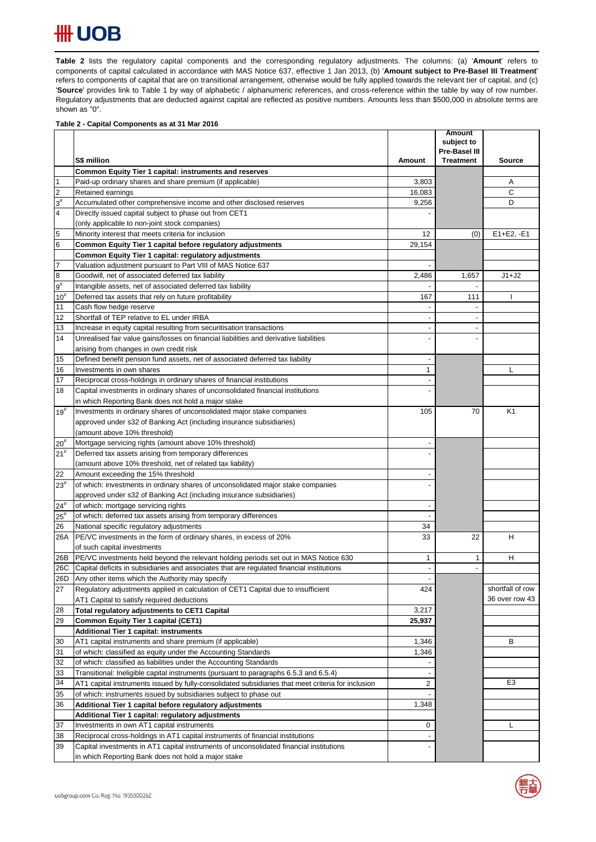# **HH UOB**

Table 2 lists the regulatory capital components and the corresponding regulatory adjustments. The columns: (a) 'Amount' refers to components of capital calculated in accordance with MAS Notice 637, effective 1 Jan 2013, (b) '**Amount subject to Pre-Basel III Treatment**' refers to components of capital that are on transitional arrangement, otherwise would be fully applied towards the relevant tier of capital, and (c) '**Source**' provides link to Table 1 by way of alphabetic / alphanumeric references, and cross-reference within the table by way of row number. Regulatory adjustments that are deducted against capital are reflected as positive numbers. Amounts less than \$500,000 in absolute terms are shown as "0".

### **Table 2 - Capital Components as at 31 Mar 2016**

|                         |                                                                                                    |                          | <b>Amount</b><br>subject to |                  |
|-------------------------|----------------------------------------------------------------------------------------------------|--------------------------|-----------------------------|------------------|
|                         |                                                                                                    |                          | Pre-Basel III               |                  |
|                         | S\$ million                                                                                        | Amount                   | <b>Treatment</b>            | <b>Source</b>    |
|                         | Common Equity Tier 1 capital: instruments and reserves                                             |                          |                             |                  |
| $\vert$ 1               | Paid-up ordinary shares and share premium (if applicable)                                          | 3,803                    |                             | Α                |
| $\overline{2}$          | Retained earnings                                                                                  | 16,083                   |                             | C                |
| $3^{\sharp}$            | Accumulated other comprehensive income and other disclosed reserves                                | 9,256                    |                             | D                |
| $\overline{\mathbf{4}}$ | Directly issued capital subject to phase out from CET1                                             |                          |                             |                  |
|                         | (only applicable to non-joint stock companies)                                                     |                          |                             |                  |
| 5                       | Minority interest that meets criteria for inclusion                                                | 12                       | (0)                         | $E1 + E2, -E1$   |
| $6\phantom{.}6$         | Common Equity Tier 1 capital before regulatory adjustments                                         | 29.154                   |                             |                  |
|                         | Common Equity Tier 1 capital: regulatory adjustments                                               |                          |                             |                  |
| $\overline{7}$          | Valuation adjustment pursuant to Part VIII of MAS Notice 637                                       | $\overline{\phantom{a}}$ |                             |                  |
| $\bf{8}$                | Goodwill, net of associated deferred tax liability                                                 | 2,486                    | 1,657                       | $J1+J2$          |
| $9^{\sharp}$            | Intangible assets, net of associated deferred tax liability                                        |                          | $\overline{\phantom{a}}$    |                  |
| $10^{#}$                | Deferred tax assets that rely on future profitability                                              | 167                      | 111                         |                  |
| 11                      | Cash flow hedge reserve                                                                            | $\overline{\phantom{a}}$ |                             |                  |
| 12                      | Shortfall of TEP relative to EL under IRBA                                                         | $\overline{\phantom{a}}$ | $\overline{a}$              |                  |
| 13                      | Increase in equity capital resulting from securitisation transactions                              | $\overline{\phantom{a}}$ |                             |                  |
| 14                      | Unrealised fair value gains/losses on financial liabilities and derivative liabilities             |                          |                             |                  |
|                         | arising from changes in own credit risk                                                            |                          |                             |                  |
| 15                      | Defined benefit pension fund assets, net of associated deferred tax liability                      | $\overline{\phantom{a}}$ |                             |                  |
| 16                      | Investments in own shares                                                                          | 1                        |                             | L                |
| 17                      | Reciprocal cross-holdings in ordinary shares of financial institutions                             |                          |                             |                  |
| 18                      | Capital investments in ordinary shares of unconsolidated financial institutions                    |                          |                             |                  |
|                         | in which Reporting Bank does not hold a major stake                                                |                          |                             |                  |
| $19^{#}$                | Investments in ordinary shares of unconsolidated major stake companies                             | 105                      | 70                          | K <sub>1</sub>   |
|                         | approved under s32 of Banking Act (including insurance subsidiaries)                               |                          |                             |                  |
|                         | (amount above 10% threshold)                                                                       |                          |                             |                  |
| $20^{#}$                | Mortgage servicing rights (amount above 10% threshold)                                             |                          |                             |                  |
| 21 <sup>#</sup>         | Deferred tax assets arising from temporary differences                                             |                          |                             |                  |
|                         | (amount above 10% threshold, net of related tax liability)                                         |                          |                             |                  |
| 22                      | Amount exceeding the 15% threshold                                                                 |                          |                             |                  |
| $23^{#}$                | of which: investments in ordinary shares of unconsolidated major stake companies                   |                          |                             |                  |
|                         | approved under s32 of Banking Act (including insurance subsidiaries)                               |                          |                             |                  |
| $24^{#}$                | of which: mortgage servicing rights                                                                | $\overline{\phantom{a}}$ |                             |                  |
| $25^{\rm #}$            | of which: deferred tax assets arising from temporary differences                                   |                          |                             |                  |
| 26                      | National specific regulatory adjustments                                                           | 34                       |                             |                  |
| 26A                     | PE/VC investments in the form of ordinary shares, in excess of 20%                                 | 33                       | 22                          | н                |
|                         | of such capital investments                                                                        |                          |                             |                  |
| 26B                     | PE/VC investments held beyond the relevant holding periods set out in MAS Notice 630               | 1                        | 1                           | н                |
| 26C                     | Capital deficits in subsidiaries and associates that are regulated financial institutions          | $\blacksquare$           | $\overline{a}$              |                  |
| 26D                     | Any other items which the Authority may specify                                                    |                          |                             |                  |
| 27                      | Regulatory adjustments applied in calculation of CET1 Capital due to insufficient                  | 424                      |                             | shortfall of row |
|                         | AT1 Capital to satisfy required deductions                                                         |                          |                             | 36 over row 43   |
| 28                      | Total regulatory adjustments to CET1 Capital                                                       | 3,217                    |                             |                  |
| 29                      | <b>Common Equity Tier 1 capital (CET1)</b>                                                         | 25,937                   |                             |                  |
|                         | Additional Tier 1 capital: instruments                                                             |                          |                             |                  |
| 30                      | AT1 capital instruments and share premium (if applicable)                                          | 1,346                    |                             | в                |
| 31                      | of which: classified as equity under the Accounting Standards                                      | 1,346                    |                             |                  |
| 32                      | of which: classified as liabilities under the Accounting Standards                                 |                          |                             |                  |
| 33                      | Transitional: Ineligible capital instruments (pursuant to paragraphs 6.5.3 and 6.5.4)              | $\overline{\phantom{a}}$ |                             |                  |
| 34                      | AT1 capital instruments issued by fully-consolidated subsidiaries that meet criteria for inclusion | $\overline{c}$           |                             | E <sub>3</sub>   |
| 35                      | of which: instruments issued by subsidiaries subject to phase out                                  |                          |                             |                  |
| 36                      | Additional Tier 1 capital before regulatory adjustments                                            | 1,348                    |                             |                  |
|                         | Additional Tier 1 capital: regulatory adjustments                                                  |                          |                             |                  |
| 37                      | Investments in own AT1 capital instruments                                                         | 0                        |                             | L                |
| 38                      | Reciprocal cross-holdings in AT1 capital instruments of financial institutions                     |                          |                             |                  |
| 39                      | Capital investments in AT1 capital instruments of unconsolidated financial institutions            |                          |                             |                  |
|                         | in which Reporting Bank does not hold a major stake                                                |                          |                             |                  |
|                         |                                                                                                    |                          |                             |                  |

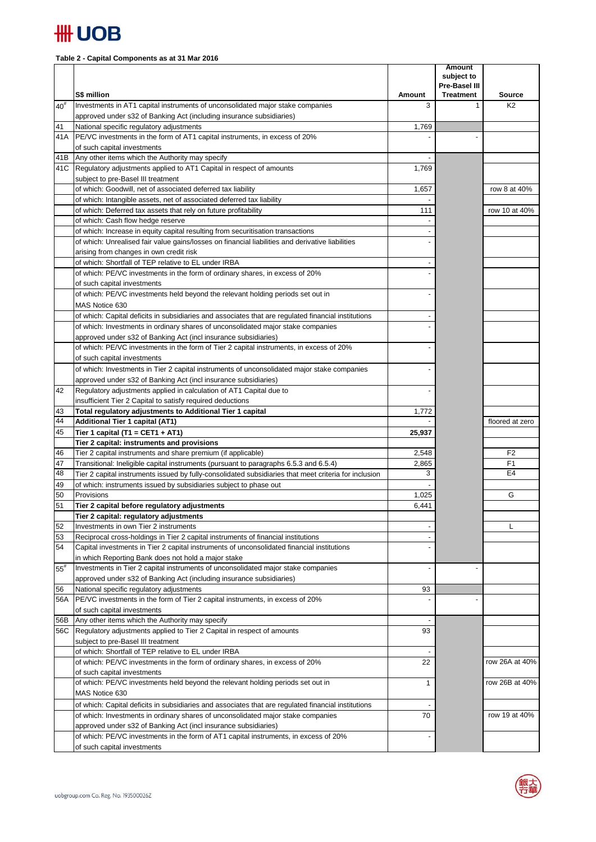

## **Table 2 - Capital Components as at 31 Mar 2016**

|              | S\$ million                                                                                                                                             | Amount | <b>Amount</b><br>subject to<br>Pre-Basel III<br><b>Treatment</b> | <b>Source</b>   |
|--------------|---------------------------------------------------------------------------------------------------------------------------------------------------------|--------|------------------------------------------------------------------|-----------------|
| $40^{#}$     | Investments in AT1 capital instruments of unconsolidated major stake companies                                                                          | 3      | $\mathbf{1}$                                                     | K <sub>2</sub>  |
|              | approved under s32 of Banking Act (including insurance subsidiaries)                                                                                    |        |                                                                  |                 |
| 41           | National specific regulatory adjustments                                                                                                                | 1,769  |                                                                  |                 |
| 41 A         | PE/VC investments in the form of AT1 capital instruments, in excess of 20%                                                                              |        |                                                                  |                 |
|              | of such capital investments                                                                                                                             |        |                                                                  |                 |
| 41B          | Any other items which the Authority may specify                                                                                                         |        |                                                                  |                 |
|              | 41C Regulatory adjustments applied to AT1 Capital in respect of amounts<br>subject to pre-Basel III treatment                                           | 1,769  |                                                                  |                 |
|              | of which: Goodwill, net of associated deferred tax liability                                                                                            | 1,657  |                                                                  | row 8 at 40%    |
|              | of which: Intangible assets, net of associated deferred tax liability                                                                                   |        |                                                                  |                 |
|              | of which: Deferred tax assets that rely on future profitability                                                                                         | 111    |                                                                  | row 10 at 40%   |
|              | of which: Cash flow hedge reserve                                                                                                                       |        |                                                                  |                 |
|              | of which: Increase in equity capital resulting from securitisation transactions                                                                         |        |                                                                  |                 |
|              | of which: Unrealised fair value gains/losses on financial liabilities and derivative liabilities                                                        |        |                                                                  |                 |
|              | arising from changes in own credit risk                                                                                                                 |        |                                                                  |                 |
|              | of which: Shortfall of TEP relative to EL under IRBA                                                                                                    |        |                                                                  |                 |
|              | of which: PE/VC investments in the form of ordinary shares, in excess of 20%                                                                            |        |                                                                  |                 |
|              | of such capital investments                                                                                                                             |        |                                                                  |                 |
|              | of which: PE/VC investments held beyond the relevant holding periods set out in                                                                         |        |                                                                  |                 |
|              | MAS Notice 630                                                                                                                                          |        |                                                                  |                 |
|              | of which: Capital deficits in subsidiaries and associates that are regulated financial institutions                                                     |        |                                                                  |                 |
|              | of which: Investments in ordinary shares of unconsolidated major stake companies                                                                        |        |                                                                  |                 |
|              | approved under s32 of Banking Act (incl insurance subsidiaries)                                                                                         |        |                                                                  |                 |
|              | of which: PE/VC investments in the form of Tier 2 capital instruments, in excess of 20%                                                                 |        |                                                                  |                 |
|              | of such capital investments                                                                                                                             |        |                                                                  |                 |
|              | of which: Investments in Tier 2 capital instruments of unconsolidated major stake companies                                                             |        |                                                                  |                 |
| 42           | approved under s32 of Banking Act (incl insurance subsidiaries)<br>Regulatory adjustments applied in calculation of AT1 Capital due to                  |        |                                                                  |                 |
|              | insufficient Tier 2 Capital to satisfy required deductions                                                                                              |        |                                                                  |                 |
| 43           | Total regulatory adjustments to Additional Tier 1 capital                                                                                               | 1,772  |                                                                  |                 |
| 44           | <b>Additional Tier 1 capital (AT1)</b>                                                                                                                  |        |                                                                  | floored at zero |
| 45           | Tier 1 capital (T1 = CET1 + AT1)                                                                                                                        | 25,937 |                                                                  |                 |
|              | Tier 2 capital: instruments and provisions                                                                                                              |        |                                                                  |                 |
| 46           | Tier 2 capital instruments and share premium (if applicable)                                                                                            | 2,548  |                                                                  | F <sub>2</sub>  |
| 47           | Transitional: Ineligible capital instruments (pursuant to paragraphs 6.5.3 and 6.5.4)                                                                   | 2,865  |                                                                  | F1              |
| 48           | Tier 2 capital instruments issued by fully-consolidated subsidiaries that meet criteria for inclusion                                                   | 3      |                                                                  | E <sub>4</sub>  |
| 49           | of which: instruments issued by subsidiaries subject to phase out                                                                                       |        |                                                                  |                 |
| 50           | Provisions                                                                                                                                              | 1,025  |                                                                  | G               |
| 51           | Tier 2 capital before regulatory adjustments                                                                                                            | 6,441  |                                                                  |                 |
|              | Tier 2 capital: regulatory adjustments                                                                                                                  |        |                                                                  |                 |
| 52           | Investments in own Tier 2 instruments                                                                                                                   |        |                                                                  | L               |
| 53<br>54     | Reciprocal cross-holdings in Tier 2 capital instruments of financial institutions                                                                       |        |                                                                  |                 |
|              | Capital investments in Tier 2 capital instruments of unconsolidated financial institutions<br>in which Reporting Bank does not hold a major stake       |        |                                                                  |                 |
| $55^{\rm #}$ | Investments in Tier 2 capital instruments of unconsolidated major stake companies                                                                       |        |                                                                  |                 |
|              | approved under s32 of Banking Act (including insurance subsidiaries)                                                                                    |        |                                                                  |                 |
| 56           | National specific regulatory adjustments                                                                                                                | 93     |                                                                  |                 |
| 56A          | PE/VC investments in the form of Tier 2 capital instruments, in excess of 20%                                                                           |        |                                                                  |                 |
|              | of such capital investments                                                                                                                             |        |                                                                  |                 |
| 56B          | Any other items which the Authority may specify                                                                                                         |        |                                                                  |                 |
| 56C          | Regulatory adjustments applied to Tier 2 Capital in respect of amounts                                                                                  | 93     |                                                                  |                 |
|              | subject to pre-Basel III treatment                                                                                                                      |        |                                                                  |                 |
|              | of which: Shortfall of TEP relative to EL under IRBA                                                                                                    |        |                                                                  |                 |
|              | of which: PE/VC investments in the form of ordinary shares, in excess of 20%                                                                            | 22     |                                                                  | row 26A at 40%  |
|              | of such capital investments                                                                                                                             |        |                                                                  |                 |
|              | of which: PE/VC investments held beyond the relevant holding periods set out in                                                                         | 1      |                                                                  | row 26B at 40%  |
|              | MAS Notice 630                                                                                                                                          |        |                                                                  |                 |
|              | of which: Capital deficits in subsidiaries and associates that are regulated financial institutions                                                     |        |                                                                  |                 |
|              | of which: Investments in ordinary shares of unconsolidated major stake companies                                                                        | 70     |                                                                  | row 19 at 40%   |
|              | approved under s32 of Banking Act (incl insurance subsidiaries)<br>of which: PE/VC investments in the form of AT1 capital instruments, in excess of 20% |        |                                                                  |                 |
|              | of such capital investments                                                                                                                             |        |                                                                  |                 |